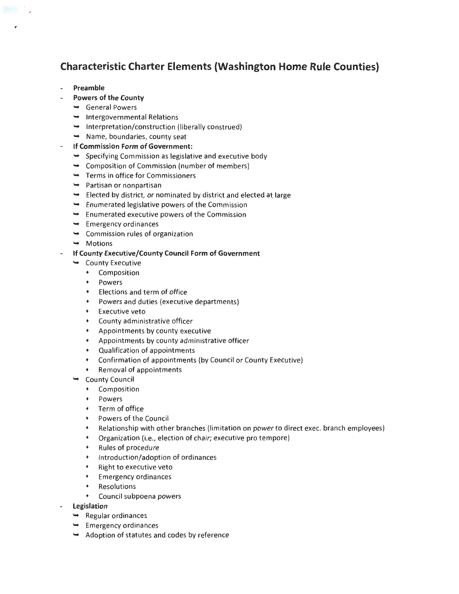# **Characteristic Charter Elements (Washington Home Rule Counties)**

- **Preamble**
- **Powers of the County** 
	- General Powers
	- $\rightarrow$  Intergovernmental Relations
	- $\rightarrow$  Interpretation/construction (liberally construed)
	- $\rightarrow$  Name, boundaries, county seat
- **If Commission Form of Government:** 
	- Specifying Commission as legislative and executive body
	- $\rightarrow$  Composition of Commission (number of members)
	- $\rightarrow$  Terms in office for Commissioners
	- $\rightarrow$  Partisan or nonpartisan
	- $\rightarrow$  Elected by district, or nominated by district and elected at large
	- $\rightarrow$  Enumerated legislative powers of the Commission
	- $\rightarrow$  Enumerated executive powers of the Commission
	- $\rightarrow$  Emergency ordinances
	- $\rightarrow$  Commission rules of organization
	- $ightharpoonup$  Motions
- **If County Executive/County Council Form of Government** 
	- $\rightarrow$  County Executive
		- Composition
		- Powers
		- Elections and term of office
		- Powers and duties (executive departments)
		- Executive veto
		- County administrative officer
		- Appointments by county executive
		- Appointments by county administrative officer
		- Qualification of appointments
		- Confirmation of appointments (by Council or County Executive)
		- Removal of appointments
	- County Council
		- Composition
		- Powers
		- Term of office
		- Powers of the Council
		- Relationship with other branches (limitation on power to direct exec. branch employees)
		- Organization (i.e., election of chair; executive pro tempore)
		- Rules of procedure
		- Introduction/adoption of ordinances
		- Right to executive veto
		- Emergency ordinances
		- Resolutions
		- Council subpoena powers
- **Legislation** 
	- $\rightarrow$  Regular ordinances
	- $\rightarrow$  Emergency ordinances
	- $\rightarrow$  Adoption of statutes and codes by reference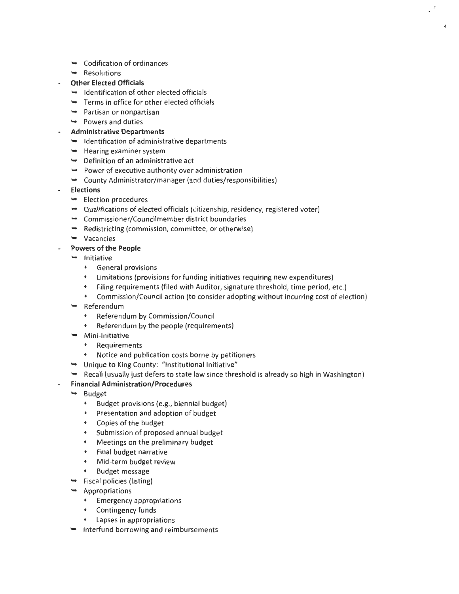- $\rightarrow$  Codification of ordinances
- $\rightarrow$  Resolutions
- **Other Elected Officials** 
	- $\rightarrow$  Identification of other elected officials
	- $\rightarrow$  Terms in office for other elected officials
	- $\rightarrow$  Partisan or nonpartisan
	- $\rightarrow$  Powers and duties
- **Administrative Departments** 
	- $\rightarrow$  Identification of administrative departments
	- $\rightarrow$  Hearing examiner system
	- $\rightarrow$  Definition of an administrative act
	- $\rightarrow$  Power of executive authority over administration
	- $\rightarrow$  County Administrator/manager (and duties/responsibilities)
- **Elections** 
	- $\rightarrow$  Election procedures
	- Qualifications of elected officials (citizenship, residency, registered voter)
	- Commissioner/Councilmember district boundaries
	- $\rightarrow$  Redistricting (commission, committee, or otherwise)
	- Vacancies
- **Powers of the People** 
	- $\rightarrow$  Initiative
		- General provisions
		- Limitations (provisions for funding initiatives requiring new expenditures)
		- Filing requirements (filed with Auditor, signature threshold, time period, etc.)
		- Commission/Council action (to consider adopting without incurring cost of election)

 $\overline{J}$ 

- Referendum
	- Referendum by Commission/Council
	- Referendum by the people (requirements)
- $\rightarrow$  Mini-Initiative
	- Requirements
	- Notice and publication costs borne by petitioners
- Unique to King County: "Institutional Initiative"
- Recall (usually just defers to state law since threshold is already so high in Washington)
- **Financial Administration/Procedures**
- $\rightarrow$  Budget
	- Budget provisions (e.g., biennial budget)
	- Presentation and adoption of budget
	- Copies of the budget
	- Submission of proposed annual budget
	- Meetings on the preliminary budget
	- Final budget narrative
	- Mid-term budget review
	- Budget message
- $\rightarrow$  Fiscal policies (listing)
- $\rightarrow$  Appropriations
	- Emergency appropriations
	- Contingency funds
	- Lapses in appropriations
- $\rightarrow$  Interfund borrowing and reimbursements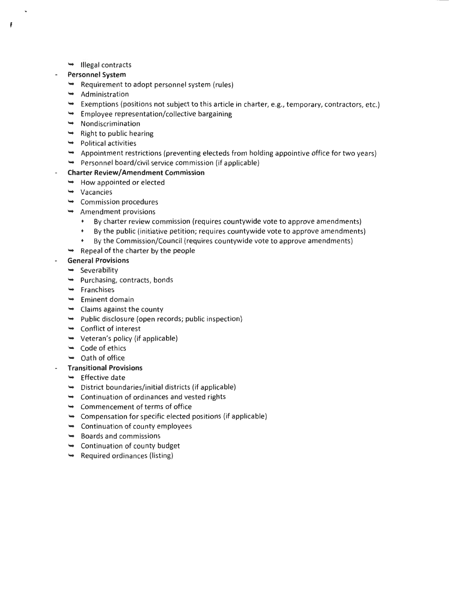- $ightharpoonup$  Illegal contracts
- **Personnel System**

 $\ddot{\mathbf{f}}$ 

- $\rightarrow$  Requirement to adopt personnel system (rules)
- $\rightarrow$  Administration
- Exemptions (positions not subject to this article in charter, e.g., temporary, contractors, etc.)
- $\rightarrow$  Employee representation/collective bargaining
- $\rightarrow$  Nondiscrimination
- $\rightarrow$  Right to public hearing
- $\rightarrow$  Political activities
- $\rightarrow$  Appointment restrictions (preventing electeds from holding appointive office for two years)
- $\rightarrow$  Personnel board/civil service commission (if applicable)

## **Charter Review/ Amendment Commission**

- $\rightarrow$  How appointed or elected
- $\rightarrow$  Vacancies
- $\rightarrow$  Commission procedures
- $\rightarrow$  Amendment provisions
	- By charter review commission (requires countywide vote to approve amendments)
	- By the public (initiative petition; requires countywide vote to approve amendments)
	- By the Commission/Council (requires countywide vote to approve amendments)
- $\rightarrow$  Repeal of the charter by the people

## **General Provisions**

- $\rightarrow$  Severability
- $\rightarrow$  Purchasing, contracts, bonds
- $\rightarrow$  Franchises
- $\rightarrow$  Eminent domain
- $\rightarrow$  Claims against the county
- $\rightarrow$  Public disclosure (open records; public inspection)
- $\rightarrow$  Conflict of interest
- $\rightarrow$  Veteran's policy (if applicable)
- $\leftrightarrow$  Code of ethics
- $\rightarrow$  Oath of office

## **Transitional Provisions**

- $\rightarrow$  Effective date
- $\rightarrow$  District boundaries/initial districts (if applicable)
- $\rightarrow$  Continuation of ordinances and vested rights
- Commencement of terms of office
- $\rightarrow$  Compensation for specific elected positions (if applicable)
- $\rightarrow$  Continuation of county employees
- $\rightarrow$  Boards and commissions
- $\rightarrow$  Continuation of county budget
- $\rightarrow$  Required ordinances (listing)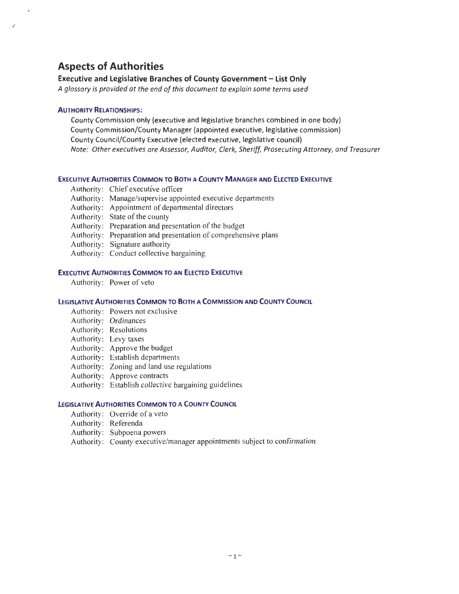# **Aspects of Authorities**

## **Executive and Legislative Branches of County Government - List Only**

*A glossary is provided at the end of this document to explain some terms used* 

#### **AUTHORITY RELATIONSHIPS:**

.,

County Commission only (executive and legislative branches combined in one body) County Commission/County Manager (appointed executive, legislative commission) County Council/County Executive (elected executive, legislative council) *Note: Other executives are Assessor, Auditor, Clerk, Sheriff, Prosecuting Attorney, and Treasurer* 

#### **EXECUTIVE AUTHORITIES COMMON TO BOTH A COUNTY MANAGER AND ELECTED EXECUTIVE**

- Authority: Chief executive officer
- Authority: Manage/supervise appointed executive departments
- Authority: Appointment of departmental directors
- Authority: State of the county
- Authority: Preparation and presentation of the budget
- Authority: Preparation and presentation of comprehensive plans
- Authority: Signature authority
- Authority: Conduct collective bargaining

#### **EXECUTIVE AUTHORITIES COMMON TO AN ELECTED EXECUTIVE**

Authority: Power of veto

#### **LEGISLATIVE AUTHORITIES COMMON TO BOTH A COMMISSION AND COUNTY COUNCIL**

- Authority: Powers not exclusive
- Authority: Ordinances
- Authority: Resolutions
- Authority: Levy taxes
- Authority: Approve the budget
- Authority: Establish departments
- Authority: Zoning and land use regulations
- Authority: Approve contracts
- Authority: Establish collective bargaining guidelines

#### **LEGISLATIVE AUTHORITIES COMMON TO A COUNTY COUNCIL**

- Authority: Override of a veto
- Authority: Referenda
- Authority: Subpoena powers
- Authority: County executive/manager appointments subject to confirmation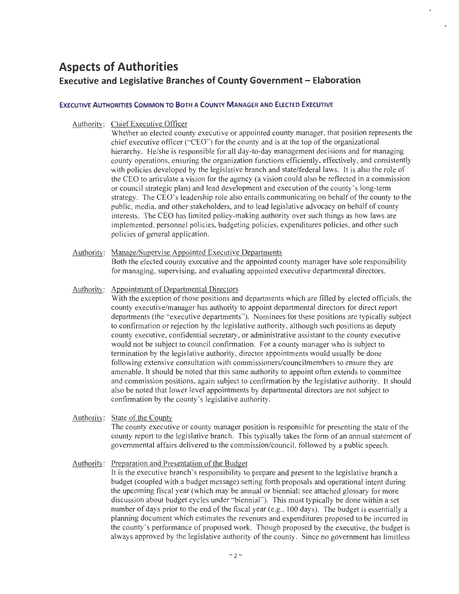# **Aspects of Authorities Executive and Legislative Branches of County Government - Elaboration**

## **EXECUTIVE AUTHORITIES COMMON TO BOTH A COUNTY MANAGER AND ELECTED EXECUTIVE**

Authority: Chief Executive Officer

Whether an elected county executive or appointed county manager, that position represents the chief executive officer ("CEO") for the county and is at the top of the organizational hierarchy. He/she is responsible for all day-to-day management decisions and for managing county operations, ensuring the organization functions efficiently, effectively, and consistently with policies developed by the legislative branch and state/federal laws. It is also the role of the CEO to articulate a vision for the agency (a vision could also be reflected in a commission or council strategic plan) and lead development and execution of the county's long-term strategy. The CEO's leadership role also entails communicating on behalf of the county to the public, media, and other stakeholders, and to lead legislative advocacy on behalf of county interests. The CEO has limited policy-making authority over such things as how laws are implemented, personnel policies, budgeting policies, expenditures policies, and other such policies of general application.

## Authority: Manage/Supervise Appointed Executive Departments

Both the elected county executive and the appointed county manager have sole responsibility for managing, supervising, and evaluating appointed executive departmental directors.

## Authority: Appointment of Departmental Directors

With the exception of those positions and departments which are filled by elected officials, the county executive/manager has authority to appoint departmental directors for direct report departments (the "executive departments"). Nominees for these positions are typically subject to confirmation or rejection by the legislative authority, although such positions as deputy county executive, confidential secretary, or administrative assistant to the county executive would not be subject to council confirmation. For a county manager who is subject to termination by the legislative authority, director appointments would usually be done following extensive consultation with commissioners/councilmembers to ensure they are amenable. It should be noted that this same authority to appoint often extends to committee and commission positions, again subject to confirmation by the legislative authority. It should also be noted that lower level appointments by departmental directors are not subject to confirmation by the county's legislative authority.

## Authority: State of the County

The county executive or county manager position is responsible for presenting the state of the county report to the legislative branch. This typically takes the form of an annual statement of governmental affairs delivered to the commission/council, followed by a public speech.

## Authority: Preparation and Presentation of the Budget

It is the executive branch 's responsibility to prepare and present to the legislative branch a budget (coupled with a budget message) setting forth proposals and operational intent during the upcoming fiscal year (which may be annual or biennial; see attached glossary for more discussion about budget cycles under "biennial"). This must typically be done within a set number of days prior to the end of the fiscal year (e.g., 100 days). The budget is essentially a planning document which estimates the revenues and expenditures proposed to be incurred in the county's performance of proposed work. Though proposed by the executive, the budget is always approved by the legislative authority of the county. Since no government has limitless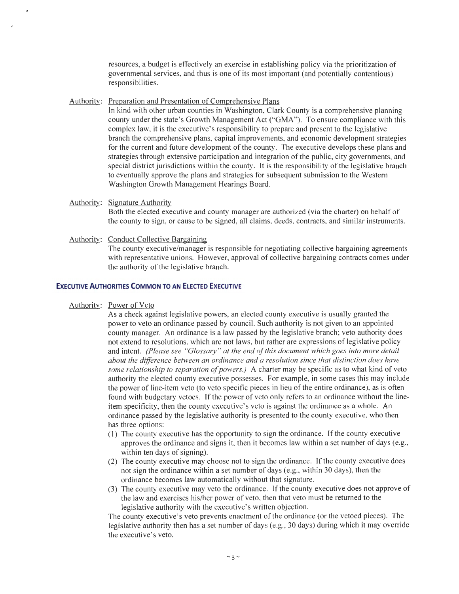resources, a budget is effectively an exercise in establishing policy via the prioritization of governmental services, and thus is one of its most important (and potentially contentious) responsibilities.

#### Authority: Preparation and Presentation of Comprehensive Plans

In kind with other urban counties in Washington, Clark County is a comprehensive planning county under the state's Growth Management Act ("GMA"). To ensure compliance with this complex law, it is the executive's responsibility to prepare and present to the legislative branch the comprehensive plans, capital improvements, and economic development strategies for the current and future development of the county. The executive develops these plans and strategies through extensive participation and integration of the public, city governments, and special district jurisdictions within the county. It is the responsibility of the legislative branch to eventually approve the plans and strategies for subsequent submission to the Western Washington Growth Management Hearings Board.

- Authority: Signature Authority Both the elected executive and county manager are authorized (via the charter) on behalf of the county to sign, or cause to be signed, all claims, deeds, contracts, and similar instruments.
- Authority: Conduct Collective Bargaining The county executive/manager is responsible for negotiating collective bargaining agreements with representative unions. However, approval of collective bargaining contracts comes under the authority of the legislative branch.

## **EXECUTIVE AUTHORITIES COMMON TO AN ELECTED EXECUTIVE**

#### Authority: Power of Veto

As a check against legislative powers, an elected county executive is usually granted the power to veto an ordinance passed by council. Such authority is not given to an appointed county manager. An ordinance is a law passed by the legislative branch; veto authority does not extend to resolutions, which are not laws, but rather are expressions of legislative policy and intent. *(Please see "Glossary " at the end of this document which goes into more detail about the difference between an ordinance and a resolution since that distinction does have some relationship to separation of powers.)* A charter may be specific as to what kind of veto authority the elected county executive possesses. For example, in some cases this may include the power of line-item veto (to veto specific pieces in lieu of the entire ordinance), as is often found with budgetary vetoes. If the power of veto only refers to an ordinance without the lineitem specificity, then the county executive's veto is against the ordinance as a whole. An ordinance passed by the legislative authority is presented to the county executive, who then has three options:

- (I) The county executive has the opportunity to sign the ordinance. lfthe county executive approves the ordinance and signs it, then it becomes law within a set number of days (e.g., within ten days of signing).
- (2) The county executive may choose not to sign the ordinance. If the county executive does not sign the ordinance within a set number of days (e.g., within 30 days), then the ordinance becomes law automatically without that signature.
- (3) The county executive may veto the ordinance. If the county executive does not approve of the law and exercises his/her power of veto, then that veto must be returned to the legislative authority with the executive's written objection.

The county executive's veto prevents enactment of the ordinance (or the vetoed pieces). The legislative authority then has a set number of days (e.g., 30 days) during which it may override the executive's veto.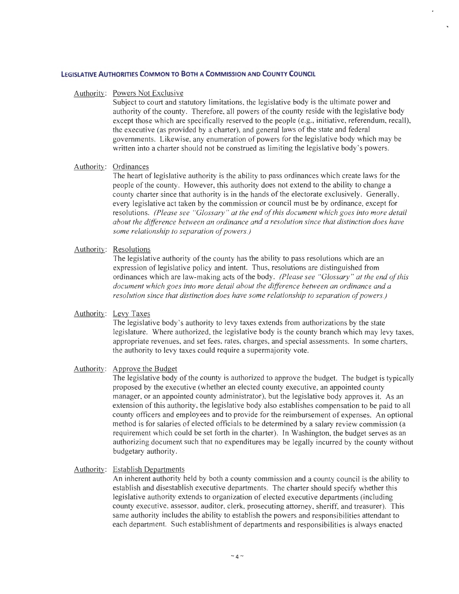## **LEGISLATIVE AUTHORITIES COMMON TO 80TH A COMMISSION AND COUNTY COUNCIL**

#### Authority: Powers Not Exclusive

Subject to court and statutory limitations, the legislative body is the ultimate power and authority of the county. Therefore, all powers of the county reside with the legislative body except those which are specifically reserved to the people (e.g., initiative, referendum, recall), the executive (as provided by a charter), and general laws of the state and federal governments. Likewise, any enumeration of powers for the legislative body which may be written into a charter should not be construed as limiting the legislative body's powers.

## Authority: Ordinances

The heart of legislative authority is the ability to pass ordinances which create laws for the people of the county. However, this authority does not extend to the ability to change a county charter since that authority is in the hands of the electorate exclusively. Generally, every legislative act taken by the commission or council must be by ordinance, except for resolutions. *(Please see "Glossary" at the end of this document which goes into more detail about the difference between an ordinance and a resolution since that distinction does have some relationship to separation of powers.)* 

#### Authority: Resolutions

The legislative authority of the county has the ability to pass resolutions which are an expression of legislative policy and intent. Thus, resolutions are distinguished from ordinances which are law-making acts of the body. *(Please see "Glossary" at the end of this document which goes into more detail about the difference between an ordinance and a resolution since that distinction does have some relationship to separation of powers.)* 

#### Authority: Levy Taxes

The legislative body's authority to levy taxes extends from authorizations by the state legislature. Where authorized, the legislative body is the county branch which may levy taxes, appropriate revenues, and set fees, rates, charges, and special assessments. In some charters, the authority to levy taxes could require a supermajority vote.

#### Authority: Approve the Budget

The legislative body of the county is authorized to approve the budget. The budget is typically proposed by the executive (whether an elected county executive, an appointed county manager, or an appointed county administrator), but the legislative body approves it. As an extension of this authority, the legislative body also establishes compensation to be paid to all county officers and employees and to provide for the reimbursement of expenses. An optional method is for salaries of elected officials to be determined by a salary review commission (a requirement which could be set forth in the charter). In Washington, the budget serves as an authorizing document such that no expenditures may be legally incurred by the county without budgetary authority.

#### Authority: Establish Departments

An inherent authority held by both a county commission and a county council is the ability to establish and disestablish executive departments. The charter should specify whether this legislative authority extends to organization of elected executive departments (including county executive, assessor, auditor, clerk, prosecuting attorney, sheriff, and treasurer). This same authority includes the ability to establish the powers and responsibilities attendant to each department. Such establishment of departments and responsibilities is always enacted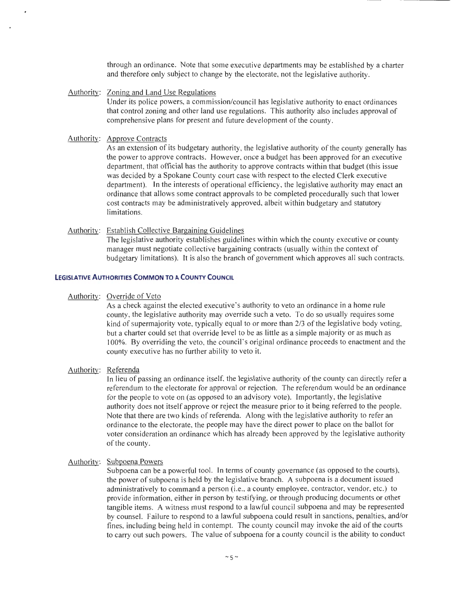through an ordinance. Note that some executive departments may be established by a charter and therefore only subject to change by the electorate, not the legislative authority.

Authority: Zoning and Land Use Regulations

Under its police powers, a commission/council has legislative authority to enact ordinances that control zoning and other land use regulations. This authority also includes approval of comprehensive plans for present and future development of the county.

Authority: Approve Contracts

As an extension of its budgetary authority, the legislative authority of the county generally has the power to approve contracts. However, once a budget has been approved for an executive department, that official has the authority to approve contracts within that budget (this issue was decided by a Spokane County court case with respect to the elected Clerk executive department). In the interests of operational efficiency, the legislative authority may enact an ordinance that allows some contract approvals to be completed procedurally such that lower cost contracts may be administratively approved, albeit within budgetary and statutory limitations.

### Authority: Establish Collective Bargaining Guidelines

The legislative authority establishes guidelines within which the county executive or county manager must negotiate collective bargaining contracts (usually within the context of budgetary limitations). It is also the branch of government which approves all such contracts.

## **LEGISLATIVE AUTHORITIES COMMON TO A COUNTY COUNCIL**

Authority: Override of Veto

As a check against the elected executive's authority to veto an ordinance in a home rule county, the legislative authority may override such a veto. To do so usually requires some kind of supermajority vote, typically equal to or more than 2/3 of the legislative body voting, but a charter could set that override level to be as little as a simple majority or as much as 100%. By overriding the veto, the council 's original ordinance proceeds to enactment and the county executive has no further ability to veto it.

### Authority: Referenda

In lieu of passing an ordinance itself, the legislative authority of the county can directly refer a referendum to the electorate for approval or rejection. The referendum would be an ordinance for the people to vote on (as opposed to an advisory vote). Importantly, the legislative authority does not itself approve or reject the measure prior to it being referred to the people. Note that there are two kinds of referenda. Along with the legislative authority to refer an ordinance to the electorate, the people may have the direct power to place on the ballot for voter consideration an ordinance which has already been approved by the legislative authority of the county.

#### Authority: Subpoena Powers

Subpoena can be a powerful tool. In terms of county governance (as opposed to the courts), the power of subpoena is held by the legislative branch. A subpoena is a document issued administratively to command a person (i.e., a county employee, contractor, vendor, etc.) to provide information, either in person by testifying, or through producing documents or other tangible items. A witness must respond to a lawful council subpoena and may be represented by counsel. Failure to respond to a lawful subpoena could result in sanctions, penalties, and/or fines, including being held in contempt. The county council may invoke the aid of the courts to carry out such powers. The value of subpoena for a county council is the ability to conduct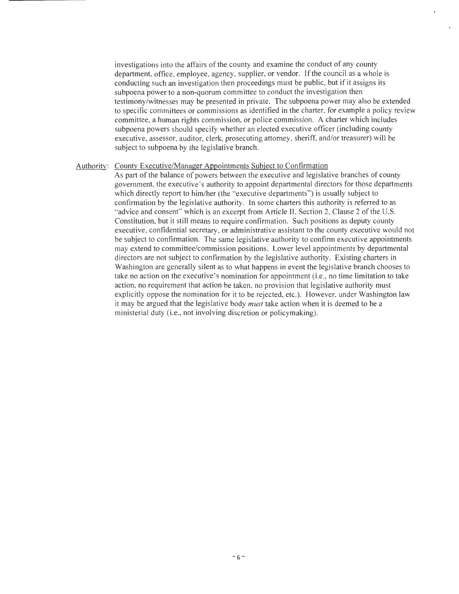investigations into the affairs of the county and examine the conduct of any county department, office, employee, agency, supplier, or vendor. If the council as a whole is conducting such an investigation then proceedings must be public, but if it assigns its subpoena power to a non-quorum committee to conduct the investigation then testimony/witnesses may be presented in private. The subpoena power may also be extended to specific committees or commissions as identified in the charter, for example a policy review committee, a human rights commission, or police commission. A charter which includes subpoena powers should specify whether an elected executive officer (including county executive, assessor, auditor, clerk, prosecuting attorney, sheriff, and/or treasurer) will be subject to subpoena by the legislative branch.

#### Authority: County Executive/Manager Appointments Subject to Confirmation

As part of the balance of powers between the executive and legislative branches of county government, the executive's authority to appoint departmental directors for those departments which directly report to him/her (the "executive departments") is usually subject to confirmation by the legislative authority. In some charters this authority is referred to as "advice and consent" which is an excerpt from Article II, Section 2, Clause 2 of the U.S. Constitution, but it still means to require confirmation. Such positions as deputy county executive, confidential secretary, or administrative assistant to the county executive would not be subject to confirmation. The same legislative authority to confirm executive appointments may extend to committee/commission positions. Lower level appointments by departmental directors are not subject to confirmation by the legislative authority. Existing charters in Washington are generally silent as to what happens in event the legislative branch chooses to take no action on the executive's nomination for appointment (i.e., no time limitation to take action, no requirement that action be taken, no provision that legislative authority must explicitly oppose the nomination for it to be rejected, etc.). However, under Washington law it may be argued that the legislative body *must* take action when it is deemed to be a ministerial duty (i.e., not involving discretion or policymaking).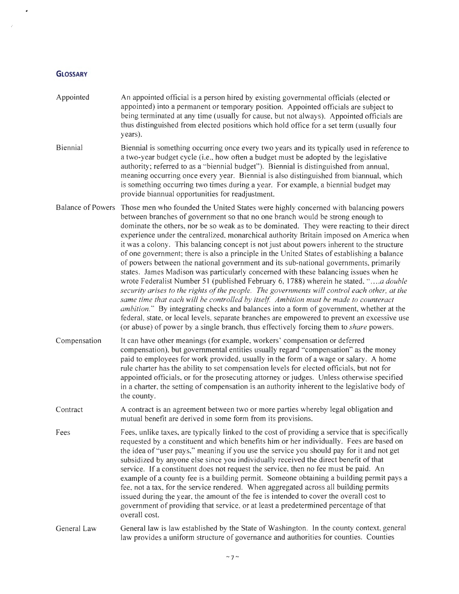## **GLOSSARY**

 $\mathcal{A}^{\pm}$ 

 $\sim$   $\mu$ 

| Appointed    | An appointed official is a person hired by existing governmental officials (elected or<br>appointed) into a permanent or temporary position. Appointed officials are subject to<br>being terminated at any time (usually for cause, but not always). Appointed officials are<br>thus distinguished from elected positions which hold office for a set term (usually four<br>years).                                                                                                                                                                                                                                                                                                                                                                                                                                                                                                                                                                                                                                                                                                                                                                                                                                                                                                                                                                 |
|--------------|-----------------------------------------------------------------------------------------------------------------------------------------------------------------------------------------------------------------------------------------------------------------------------------------------------------------------------------------------------------------------------------------------------------------------------------------------------------------------------------------------------------------------------------------------------------------------------------------------------------------------------------------------------------------------------------------------------------------------------------------------------------------------------------------------------------------------------------------------------------------------------------------------------------------------------------------------------------------------------------------------------------------------------------------------------------------------------------------------------------------------------------------------------------------------------------------------------------------------------------------------------------------------------------------------------------------------------------------------------|
| Biennial     | Biennial is something occurring once every two years and its typically used in reference to<br>a two-year budget cycle (i.e., how often a budget must be adopted by the legislative<br>authority; referred to as a "biennial budget"). Biennial is distinguished from annual,<br>meaning occurring once every year. Biennial is also distinguished from biannual, which<br>is something occurring two times during a year. For example, a biennial budget may<br>provide biannual opportunities for readjustment.                                                                                                                                                                                                                                                                                                                                                                                                                                                                                                                                                                                                                                                                                                                                                                                                                                   |
|              | Balance of Powers Those men who founded the United States were highly concerned with balancing powers<br>between branches of government so that no one branch would be strong enough to<br>dominate the others, nor be so weak as to be dominated. They were reacting to their direct<br>experience under the centralized, monarchical authority Britain imposed on America when<br>it was a colony. This balancing concept is not just about powers inherent to the structure<br>of one government; there is also a principle in the United States of establishing a balance<br>of powers between the national government and its sub-national governments, primarily<br>states. James Madison was particularly concerned with these balancing issues when he<br>wrote Federalist Number 51 (published February 6, 1788) wherein he stated, "a double<br>security arises to the rights of the people. The governments will control each other, at the<br>same time that each will be controlled by itself. Ambition must be made to counteract<br><i>ambition.</i> " By integrating checks and balances into a form of government, whether at the<br>federal, state, or local levels, separate branches are empowered to prevent an excessive use<br>(or abuse) of power by a single branch, thus effectively forcing them to <i>share</i> powers. |
| Compensation | It can have other meanings (for example, workers' compensation or deferred<br>compensation), but governmental entities usually regard "compensation" as the money<br>paid to employees for work provided, usually in the form of a wage or salary. A home<br>rule charter has the ability to set compensation levels for elected officials, but not for<br>appointed officials, or for the prosecuting attorney or judges. Unless otherwise specified<br>in a charter, the setting of compensation is an authority inherent to the legislative body of<br>the county.                                                                                                                                                                                                                                                                                                                                                                                                                                                                                                                                                                                                                                                                                                                                                                               |
| Contract     | A contract is an agreement between two or more parties whereby legal obligation and<br>mutual benefit are derived in some form from its provisions.                                                                                                                                                                                                                                                                                                                                                                                                                                                                                                                                                                                                                                                                                                                                                                                                                                                                                                                                                                                                                                                                                                                                                                                                 |
| Fees         | Fees, unlike taxes, are typically linked to the cost of providing a service that is specifically<br>requested by a constituent and which benefits him or her individually. Fees are based on<br>the idea of "user pays," meaning if you use the service you should pay for it and not get<br>subsidized by anyone else since you individually received the direct benefit of that<br>service. If a constituent does not request the service, then no fee must be paid. An<br>example of a county fee is a building permit. Someone obtaining a building permit pays a<br>fee, not a tax, for the service rendered. When aggregated across all building permits<br>issued during the year, the amount of the fee is intended to cover the overall cost to<br>government of providing that service, or at least a predetermined percentage of that<br>overall cost.                                                                                                                                                                                                                                                                                                                                                                                                                                                                                   |
| General Law  | General law is law established by the State of Washington. In the county context, general<br>law provides a uniform structure of governance and authorities for counties. Counties                                                                                                                                                                                                                                                                                                                                                                                                                                                                                                                                                                                                                                                                                                                                                                                                                                                                                                                                                                                                                                                                                                                                                                  |